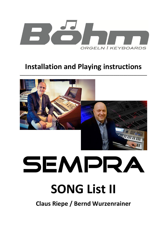

### **Installation and Playing instructions**

**\_\_\_\_\_\_\_\_\_\_\_\_\_\_\_\_\_\_\_\_\_\_\_\_\_\_\_\_\_\_\_\_\_\_\_\_\_\_\_\_\_\_\_\_\_\_\_\_\_\_\_\_\_\_\_\_\_\_\_\_\_\_\_\_\_** 



# SEMPRA

## **SONG List II**

**Claus Riepe / Bernd Wurzenrainer**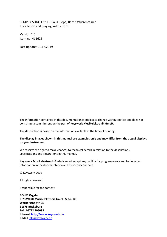SEMPRA SONG List II - Claus Riepe, Bernd Wurzenrainer Installation and playing instructions

Version 1.0 Item no. 41162E

Last update: 01.12.2019

The information contained in this documentation is subject to change without notice and does not constitute a commitment on the part of **Keyswerk Musikelektronik GmbH**.

The description is based on the information available at the time of printing.

#### **The display images shown in this manual are examples only and may differ from the actual displays on your instrument**.

We reserve the right to make changes to technical details in relation to the descriptions, specifications and illustrations in this manual.

**Keyswerk Musikelektronik GmbH** cannot accept any liability for program errors and for incorrect information in the documentation and their consequences.

© Keyswerk 2019

All rights reserved

Responsible for the content:

**BÖHM Orgeln KEYSWERK Musikelektronik GmbH & Co. KG Warbersche Str. 32 31675 Bückeburg Tel.: 05722 905088 Internet http://www.keyswerk.de E-Mail** [info@keyswerk.de](mailto:info@keyswerk.de)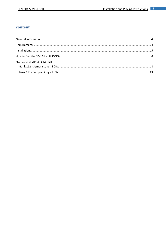#### content

| Overview SEMPRA SONG List II |  |
|------------------------------|--|
|                              |  |
|                              |  |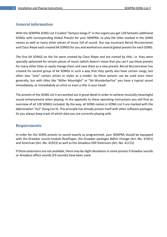#### <span id="page-3-0"></span>**General information**

With the SEMPRA SONG List II (called "Sempra Songs II" in the organ) you get 128 fantastic additional SONGs with corresponding Global Presets for your SEMPRA, to play the titles marked in the SONG names as well as many other pieces of music full of sound. Our top musicians Bernd Wurzenrainer and Claus Riepe each created 64 SONGS for you and worked out several global presets for each SONG.

The first 64 SONGS on the list were created by Claus Riepe and are named by title, i.e. they were specially optimized for certain pieces of music (which doesn't mean that you can't use these presets for many other titles or easily change them and save them as a new preset). Bernd Wurzenrainer has created his second group of 64 SONGS in such a way that they partly also have certain songs, but often also "only" certain artists or styles as a model. So these presets can be used even more generally, but with titles like "Miller Moonlight" or "Mr.WunderbarFox" you have a typical sound immediately, or immediately an artist or even a title in your head!

The presets of the SONG List II are worked out in great detail in order to achieve musically meaningful sound enhancement when playing. In the appendix to these operating instructions you will find an overview of all 128 SONGS included. By the way, all SONG names in SONG List II are marked with the abbreviation "SL2" (Song List II). This principle has already proven itself with other software packages. So you always keep track of which data you are currently playing with.

#### <span id="page-3-1"></span>**Requirements**

In order for the SONG presets to sound exactly as programmed, your SEMPRA should be equipped with the Drawbar sound module RealOrgan, the Drawbar packages Böhm Vintage (Art.-No. 41921) and American (Art.-No. 41923) as well as the Amadeus DSP-Extension (Art.-No. 41115).

If these extensions are not available, there may be slight deviations in some presets if drawbar sounds or Amadeus effect sounds (FX sounds) have been used.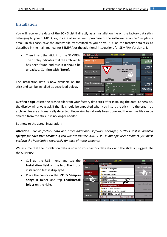#### <span id="page-4-0"></span>**Installation**

You will receive the data of the SONG List II directly as an installation file on the factory data stick belonging to your SEMPRA, or, in case of subsequent purchase of the software, as an *archive file* via email. In this case, save the archive file transmitted to you on your PC on the factory data stick as described in the main manual for SEMPRA or the additional instructions for SEMPRA Version 1.3.

• Then insert the stick into the SEMPRA. The display indicates that the archive file has been found and asks if it should be unpacked. Confirm with **[Enter]**.

The installation data is now available on the stick and can be installed as described below.

| 富<br>回                                  | «!!! Basic Song !!!»                                                                                                          |                                          | 12:18<br>个个                              |
|-----------------------------------------|-------------------------------------------------------------------------------------------------------------------------------|------------------------------------------|------------------------------------------|
| Sempra-Basics                           |                                                                                                                               |                                          | !!! Basic Song !!!                       |
| <b>III Basic Song III</b><br>Pop / Beat | Solochord 1<br>Strinas slow 2<br>Upper left 1                                                                                 | Upper right 1                            | Clr.Reg.1<br>Plano Concert               |
| <b>!Accordion</b>                       | aol Stringo                                                                                                                   | Diano Concert<br>Unpack the archive file | Clr.Reg.2<br><b>Piano Concert</b>        |
| !Accordion Musette                      |                                                                                                                               | "C:/install.arc"?<br>リバ                  | Clr.Reg.3                                |
| Akkordeon mix<br>Pop                    | Cancel<br>Esc                                                                                                                 | <b>Unpack</b><br>Enter                   | Clr.Reg.4                                |
| Alto & Tenor Saxophone<br>Fox           | 8 Beat 1<br>Tempo<br>$\begin{array}{ccccccccccccccccc} \bullet & \bullet & \bullet & \bullet & \bullet & \bullet \end{array}$ | Barcount                                 | Clr.Reg.5<br>Plano Concert               |
| <b>IBrass</b><br>Swing / Jazz           | 116<br>Transp.<br>Chord<br>C<br>C                                                                                             | Signature<br>4/4                         | <b>CLEAR REG</b><br><b>Piano Concert</b> |
| է<br>"                                  | Party 2<br>Lets go                                                                                                            | Birds 1<br>Glocke <sub>2</sub>           | FX-Rotor<br>Rotor slifs                  |

**But first a tip:** Delete the archive file from your factory data stick after installing the data. Otherwise, the display will always ask if the file should be unpacked when you insert the stick into the organ, as archive files are automatically detected. Unpacking has already been done and the archive file can be deleted from the stick, it is no longer needed.

But now to the actual installation:

*Attention: Like all factory data and other additional software packages, SONG List II is installed specific for each user account. If you want to use the SONG List II in multiple user accounts, you must perform the installation separately for each of these accounts*.

We assume that the installation data is now on your factory data stick and the stick is plugged into the SEMPRA:

- Call up the USB menu and tap the **Installation** field on the left. The list of installation files is displayed.
- Place the cursor on the **59105 Sempra-Songs II** folder and tap **Load/install folder** on the right.

| <u>ल्</u> ब<br>页             | <b>USB Media</b>                                | 12:18<br>$\overline{nn}$ |
|------------------------------|-------------------------------------------------|--------------------------|
|                              | USB1<br>Syst. Work                              | Action                   |
| show all                     | <b>C:/INSTALL/</b>                              | load / install folder    |
|                              | 59096 Konto-Update                              |                          |
| Installation                 | 59097 Sound-Patch                               | hatall file<br>load      |
|                              | 59101 Basic-Styles                              |                          |
| Themes (Whums)               | 59102 Basic-Songs I                             | play directly            |
|                              | 59103 Sempra-Songs I                            |                          |
| Songs                        | 59104 Weihnachten I                             | save selected type       |
|                              | 59105 Sempra-Songs II                           |                          |
| Styles                       | 59122 SE20-40 Part-Erw-1                        | format drive             |
|                              | 59123 SE20-40 Part-Erw-2 (LSS2!)                |                          |
| Playbacks                    | 59124 SE60 Part-Erw (LSS2!)                     | delete file              |
|                              | <b>Filesize 0 B</b><br>Date 01.12.2019<br>12:11 |                          |
| $\overline{\mathsf{v}}$<br>" | ᆽ<br>$\vee$<br>à<br>$\overline{\mathbf{y}}$     | $\ll =$                  |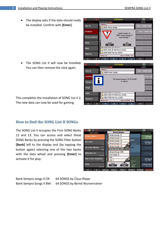$\overline{\mathbf{m}}$ Action

stall file

direct

d typ

- The display asks if the data should really be installed. Confirm with **[Enter]**.
- $\blacksquare$  $\overline{\mathbf{n}}$ Action  $\sqrt{s}$ t. 1 C:/INSTALL/ show all 59096 Konto-Update Installation Install content of "59105 Sempra-Songs II" Themes (Albums play dired automatically ? Songs selected typ OK Enter  $\overline{E}$ sc Styles 59123 SE20-40 Part-Erw-2 (LSS2!) 6 59124 SE60 Part-Erw (LSS2!) **Playbacks** Filesize 0 B Date 01.12.2019 12:11

**USB Medi** 

"112 Sempra-Songs II CR P-01.SGB" is copied...

Date 01.12.2019

 $12:1$ 

C:/INSTALL/

Filesize 0 B

59096 Konto-Update

59123 SE20-40 Part-Erw-2 (LSS2!) 59124 SE60 Part-Erw (LSS2!)

• The SONG List II will now be installed. You can then remove the stick again.

 $\overline{\alpha}$ 

show all

**Themes** 

Songs

Styles

Playbacks

This completes the installation of SONG List II 2. The new data can now be used for gaming.

#### <span id="page-5-0"></span>**How to find the SONG List II SONGs**

The SONG List II occupies the Firm SONG Banks 12 and 13. You can access and select these SONG Banks by pressing the SONG Filter button **[Bank]** left to the display and (by tapping the button again) selecting one of the two banks with the data wheel and pressing **[Enter]** to activate it for play:

| ≪<br>富<br>可                               | <b>«Ill Rasic Song III»</b>        |                                 | 12:21<br>春春                              |
|-------------------------------------------|------------------------------------|---------------------------------|------------------------------------------|
| <b>Sempra-Basics</b>                      | Select please:                     |                                 | !!! Basic Song !!!                       |
| III Basic Song !!!                        | Sempra-Songs I-6                   |                                 |                                          |
| Up<br>Pop / Beat                          | Sempra-Songs I-7                   |                                 | Clr.Reg.1<br><b>Piano Concert</b>        |
| !Accordion<br>lin                         | Sempra-Songs I-8                   | Incert                          |                                          |
| Fox                                       | Sempra-Songs I-9                   | ordion                          | Clr.Reg.2<br>Piano Concert               |
| <b>!Accordion Musette</b><br>S            | Sempra-Songs I-10                  | Incert                          |                                          |
| Lot<br>Waltz                              | Sempra-Songs II CR                 |                                 | Clr.Reg.3                                |
| !Akkordeon mix                            | Sempra-Songs II BW                 |                                 |                                          |
| C)<br>Pop / Beat                          | Firm Songs 14                      |                                 | Clr.Reg.4                                |
| !Alto & Tenor Saxophone                   | ASP <sub>1</sub>                   |                                 |                                          |
| 8l<br>78<br>Fox                           | ASP <sub>2</sub>                   | Barcount                        | Clr.Reg.5<br>Plano Concert               |
| <b>IBrass</b><br>Swing / Jazz             | Cancel<br>Continue<br>Esc<br>Enter | Signature<br>4/4                | <b>CLEAR REG</b><br><b>Piano Concert</b> |
| $\boldsymbol{\mathsf{w}}$<br>Lets go<br>《 | Birds 1<br>Party 2                 | FX-Rotor<br>Glocke <sub>2</sub> | Rotor sl/fs                              |

Bank Sempra songs II CR: 64 SONGS by Claus Riepe Bank Sempra Songs II BW: 64 SONGS by Bernd Wurzenrainer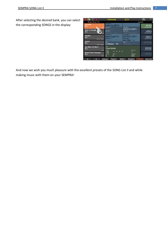After selecting the desired bank, you can select the corresponding SONGS in the display:

| 富<br>$\overline{D}$                                 | «Amorada                                                     | SL2                                                                  | 12:21<br>11                           |
|-----------------------------------------------------|--------------------------------------------------------------|----------------------------------------------------------------------|---------------------------------------|
| Sempra-Songs II CR                                  |                                                              |                                                                      | Amorada                               |
| Amorada<br>SL <sub>2</sub>                          | Solochord 1<br>Lower Org.2Rt.FX<br>Upper left 1<br>Latin     | Upper right 1                                                        | <b>INTRO</b><br>vr16-8-51/3-22FX      |
| April in Portugal<br>SL <sub>2</sub>                | Perc. 2 2 / 3<br>Upper left 2<br>- FX<br>Bars 4-2 i<br>Latin | vr16-8-51/3-22FX<br>Upper right 2<br>vr16-8-51/3-22FX                | VERS <sub>1</sub><br>vr16-8-51/3-22FX |
| <b>Atemios</b><br>SL <sub>2</sub><br>Dance / Modern | I ower left 1<br>Lower Organ 1 FX<br>Lower left 2            | $\wedge$ , Lower right 1<br>vr16-8-51/3-22FX<br><b>Lower right 2</b> | VERS <sub>2</sub><br>vr16-8-51/3-22FX |
| Aurora<br>SL <sub>2</sub><br>Dance / Modern         | Drawbars 1<br>FX.<br>Pedal 1<br>Combibass<br>Pd              | Jazz Vibe 1 a<br>Pedal 2<br>No Sound                                 | <b>RFFRAIN</b>                        |
| Ave Maria No Morro<br>SL <sub>2</sub>               | Style<br>Copa Samba<br>Tempo<br>Latin                        | Barcount<br>.                                                        | <b>BRIDGE</b><br>vr16-8-51/3-22FX     |
| Banana Boat Poporgan<br>SL <sub>2</sub>             | 136<br>Transp.<br>Chord<br>C<br>C<br>Latin                   | Signature<br>4/4                                                     | <b>ENDING</b>                         |
| ×<br>"                                              | Lets go<br>Party 2                                           | Glocke <sub>2</sub><br>Birds 1                                       | <b>FX-Rotor</b><br>Rotor slifs        |

And now we wish you much pleasure with the excellent presets of the SONG List II and while making music with them on your SEMPRA!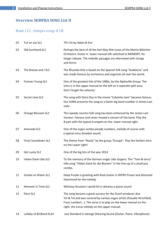#### <span id="page-7-0"></span>**Overview SEMPRA SONG List II**

#### Bank 112 - Sempra songs II CR:

| 01 | Tut'en vas SL2           | 70's hit by Adam & Eve                                                                                                                                                                                                                                   |
|----|--------------------------|----------------------------------------------------------------------------------------------------------------------------------------------------------------------------------------------------------------------------------------------------------|
| 02 | Old Surehand SL2         | Perhaps the best of all the Karl May film tunes of the Martin Böttcher<br>Orchestra. Guitar in lower manual left switched to MEMORY, for<br>longer release. The melodic passages are alternated with strings<br>and horns.                               |
| 03 | The Breeze and I SL2     | The Rhumba title is based on the Spanish folk song "Andalucia" and<br>was made famous by orchestras and organists all over the world.                                                                                                                    |
| 04 | Forever Young SL2        | One of the greatest hits of the 1980s, by the Alphaville Group. The<br>intro is in the upper manual on the left on a separate split area.<br>Don't forget the velocity!                                                                                  |
| 05 | Secret Love SL2          | The song with Doris Day in the movie "Calamity Jane" became famous.<br>Our SONG presents the song as a faster big band number in James Last<br>style.                                                                                                    |
| 06 | Orange Blossom SL2       | This speedy country folk song has been enhanced by the James Last<br>Version. Famous and never missed a concert of the band. Play the<br>B part with the typical trumpets on the lower manual right.                                                     |
| 07 | Amorada SL2              | One of the organ samba parade numbers, melody of course with<br>a typical sinus drawbar sound.                                                                                                                                                           |
| 08 | Final Countdown SL2      | The theme from "Rocky" by the group "Europe". Play the fanfare intro<br>on the Lower right!                                                                                                                                                              |
| 09 | Get Lucky SL2            | One of the big hits of the year 2014                                                                                                                                                                                                                     |
| 10 | Vielen Dank Udo SL2      | To the memory of the German singer Udo Jürgens: The "Tom-&-Jerry"<br>title song "Vielen Dank für die Blumen" in the line-up of a small jazz<br>combo.                                                                                                    |
| 11 | Smoke on Water SL2       | Deep Purple is greeting with Rock Guitar in INTRO Preset and distorted<br>Hammond for the melody                                                                                                                                                         |
| 12 | Moment in Time SL2       | Whitney Houston's world hit in dreamy e-piano sound                                                                                                                                                                                                      |
| 13 | Eleni SL2                | The song became a great success for the Dutch producer duo<br>Tol & Tol and was covered by various organ artists (Claudia Hirschfeld,<br>Franz Lambert). The verse is to play on the lower manual on the<br>right, the Corus melody on the upper manual. |
| 14 | Lullaby of Birdland SL2A | Jazz Standard in George Shearing Sound (Guitar, Piano, Vibraphone)                                                                                                                                                                                       |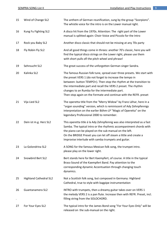| 15 | Wind of Change SL2            | The anthem of German reunification, sung by the group "Scorpions".<br>The whistle voice for the intro is on the Lower manual right.                                                                                                                                                                                                                                                                |
|----|-------------------------------|----------------------------------------------------------------------------------------------------------------------------------------------------------------------------------------------------------------------------------------------------------------------------------------------------------------------------------------------------------------------------------------------------|
| 16 | Kung Fu Fighting SL2          | A disco hit from the 1970s. Attention: The right part of the Lower<br>manual is splitted again: Choir-Voice and Piccolo for the Intro                                                                                                                                                                                                                                                              |
| 17 | Rock you Baby SL2             | Another disco classic that should not be missing at any 70s party                                                                                                                                                                                                                                                                                                                                  |
| 18 | Fly Robin Fly SL2             | And all good things come in threes: another 70's classic, here you will<br>find the typical disco strings on the Lower right, please use them<br>with short pulls ofl the pitch wheel and phrase!                                                                                                                                                                                                  |
| 19 | Sehnsucht SL2                 | The great success of the unforgotten German singer Sandra.                                                                                                                                                                                                                                                                                                                                         |
| 20 | Kalinka SL2                   | The famous Russian folk tune, spread over three presets. We start with<br>the preset VERS 1 (do not forget to increase the tempo in<br>between: button TEMPO+). Then stop the rhythm at the transition to<br>the intermediate part and recall the VERS 2 preset. The rhythm<br>changes to an Rumba for the intermediate part.<br>Then stop again on the Fermate and continue with the REFR. preset |
| 21 | Vija Lied SL2                 | The operetta title from the "Merry Widow" by Franz Léhar, here in a<br>"organ sounding" version, which is reminiscent of Ady Zehnpfennigs<br>interpretation on the earlier Böhm-LP "Magic of Operetta" on the<br>legendary Professional 2000 to remember.                                                                                                                                          |
| 22 | Dein ist m.g. Herz SL2        | This operetta title á la Ady Zehnpfennig was also interpreted as a fast<br>Samba. The typical intro or the rhythmic accompaniment chords with<br>the piano can be played on the sub manual on the left.<br>On the BRIDGE Preset you can let off steam a little and create a<br>Improvise interlude with samba trumpets and guitar.                                                                 |
| 23 | La Golondrina SL2             | A SONG for the famous Mexican folk song, the trumpet intro.<br>please play on the lower right.                                                                                                                                                                                                                                                                                                     |
| 24 | Snowbird Bert SL2             | Bert stands here for Bert Kaempfert, of course. A title in the typical<br>Brass-Sound of the Kaempfert Band. Pay attention to the<br>corresponding dynamic Accentuation through changing touch<br>dynamics.                                                                                                                                                                                        |
| 25 | <b>Highland Cathedral SL2</b> | Not a Scottish folk song, but composed in Germany: Highland<br>Cathedral, true to style with bagpipe instrumentation                                                                                                                                                                                                                                                                               |
| 26 | Guantanamera SL2              | INTRO with trumpets, then a dreamy guitar takes over on VERS 1<br>the melody VERS 2 is a pan flute. Increase then with REFR. Preset, incl.<br>filling string from the SOLOCHORD.                                                                                                                                                                                                                   |
| 27 | For Your Eyes SL2             | The typical intro for the James Bond song "For Your Eyes Only" will be<br>released on the sub-manual on the right.                                                                                                                                                                                                                                                                                 |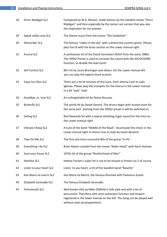| 28 | Elvira Madigan SL2       | Composed by W.A. Mozart, made famous by the Swedish movie "Elvira<br>Madigan" and then especially by the James Last version that was also<br>the inspiration for our presets.                                                                  |
|----|--------------------------|------------------------------------------------------------------------------------------------------------------------------------------------------------------------------------------------------------------------------------------------|
| 29 | Speak softly Love SL2    | The theme music from the movie "The Godfather".                                                                                                                                                                                                |
| 30 | Ghostrider SL2           | The famous "riders in the sky" with a distinctive country guitar. Please,<br>play Part B with the brass section on the Lower manual right.                                                                                                     |
| 31 | Aurora SL2               | A synthesizer hit of the Dutch formation NOVA from the early 1980s.<br>The VERS2 Preset is used to increase the sound with the SOLOCHORD<br>function, to double the lead synth.                                                                |
| 32 | Self Control SL2         | 80's hit by Laura Brannigan and others. On the Lower manual left<br>you can play the typical chord accents                                                                                                                                     |
| 33 | Vaya Con Dios SL2        | There are a lot of versions of this tune, from Johnny Cash to Julio<br>Iglesias. Please play the trumpets for the chorus in the Lower manual<br>in a bit "epic" style                                                                          |
| 34 | Goodbye ,m. love SL2     | An unforgettable hit by Demis Roussos                                                                                                                                                                                                          |
| 35 | <b>Butterfly SL2</b>     | The world hit by Daniel Gerard. The drums begin with muted snare for<br>the verse part. Starting from the VERS2 preset it will be switched on.                                                                                                 |
| 36 | Sailing SL2              | Rod Stewards hit with a typical whistling organ sound for the intro on<br>the Lower manual right                                                                                                                                               |
| 37 | Cherpie Cheep SL2        | A tune of the band "Middle of the Road". Accentuate the choirs in the<br>Lower manual right in chorus true to style by touch dynamic                                                                                                           |
| 38 | Take On Me SL2           | The first and most successful 80s of the group "A-Ha".                                                                                                                                                                                         |
| 39 | Everything I do SL2      | Brian Adams scandal from the movie "Robin Hood" with Kevin Kostner                                                                                                                                                                             |
| 40 | Save your Kisses SL2     | 1970s hit of the group "Brotherhood of Men"                                                                                                                                                                                                    |
| 41 | Atemlos SL2              | Helene Fischer's super hit is not to be missed in Preset List 2 of course                                                                                                                                                                      |
| 42 | Listen to your heart SL2 | Listen to you heart, a hit of the Swedish band "Roxette"                                                                                                                                                                                       |
| 43 | Ave Maria no morro SL2   | Ave Maria no Morro, the famous Rhumba with Flamenco Guitar                                                                                                                                                                                     |
| 44 | Elisabeth Serenade SL2   | The famous Elisabeth Serenade.                                                                                                                                                                                                                 |
| 45 | Portsmouth SL2           | Well known title by Mike Oldfield in folk style and with a lot of<br>percussion. Therefore with semi-automatic function and timpani<br>registered in the lower manual on the left. The Song can be played well<br>without style accompaniment. |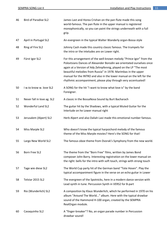| 46 | <b>Bird of Paradise SL2</b> | James Last and Horea Crishan on the pan flute made this song<br>world-famous. The pan flute in the upper manual is registered<br>monophonically, so you can paint the strings underneath with a full<br>grip.                                                                                                                                                                                                                 |
|----|-----------------------------|-------------------------------------------------------------------------------------------------------------------------------------------------------------------------------------------------------------------------------------------------------------------------------------------------------------------------------------------------------------------------------------------------------------------------------|
| 47 | April in Portugal SL2       | An evergreen in the typical Walter Wanderly organ-Bossa style                                                                                                                                                                                                                                                                                                                                                                 |
| 48 | Ring of Fire SL2            | Johnny Cash made this country classic famous. The trumpets for<br>the intro or the inteludes are on Lower right.                                                                                                                                                                                                                                                                                                              |
| 49 | Fürst Igor SL2              | For this arrangement of the well-known melody "Prince Igor" from the<br>Polovtsians Dances of Alexander Borodin we orientated ourselves once<br>again at a Version of Ady Zehnpfennig, played on the LP "The most<br>beautiful melodies from Russia" in 1978. Marimbas in the upper<br>manual for the INTRO and also in the lower manual on the left for the<br>rhythmic accompaniment, please play through very accentuated! |
| 50 | I w.to know w. love SL2     | A SONG for the hit "I want to know what love is" by the band<br>Foreigner.                                                                                                                                                                                                                                                                                                                                                    |
| 51 | Never fall in love ag. SL2  | A classic in the BossaNova Sound by Burt Bacharach                                                                                                                                                                                                                                                                                                                                                                            |
| 52 | Wonderful Land SL2          | The guitar hit by the Shadows, with a typical Muted Guitar for the<br>Interlude on he Lower manual right                                                                                                                                                                                                                                                                                                                      |
| 53 | Jerusalem (Alpert) SL2      | Herb Alpert and also Daliah Lavi made this emotional number famous.                                                                                                                                                                                                                                                                                                                                                           |
| 54 | Miss Marple SL2             | Who doesn't know the typical harpsichord melody of the famous<br>theme of the Miss Marple movies? Here's the SONG for that!                                                                                                                                                                                                                                                                                                   |
| 55 | Largo New World SL2         | The famous oboe theme from Dvorak's Symphony from the new world.                                                                                                                                                                                                                                                                                                                                                              |
| 56 | Born Free SL2               | The theme from the "Born Free" films, written by James Bond<br>composer John Barry. Interesting registration on the lower manual on<br>the right: bells for the intro with soft touch, strings with strong touch                                                                                                                                                                                                              |
| 57 | Tage wie diese SL2          | The World Cup party hit of the German band "Tote Hosen". Play the<br>typical accompaniment figure in the verse on an echo guitar in Lower                                                                                                                                                                                                                                                                                     |
| 58 | Telstar 2015 SL2            | The evergreen of the Spotnicks, here in a modern dance version with<br>Lead synth in tune. Percussion Synth in VERS2 for B-part                                                                                                                                                                                                                                                                                               |
| 59 | Rio (Wunderlich) SL2        | A composition by Klaus Wunderlich, which he performed in 1970 on his<br>album "Around The World" album. Here with the typical drawbar<br>sound of the Hammond H-100 organ, created by the SEMPRA<br>RealOrgan module.                                                                                                                                                                                                         |
| 60 | Cavaquinho SL2              | A "finger-breaker"? No, an organ parade number in Percussion<br>drawbar sound!                                                                                                                                                                                                                                                                                                                                                |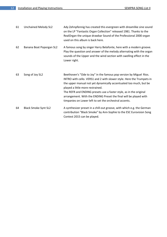| 61 | Unchained Melody SL2        | Ady Zehnpfennig has created this evergreen with dreamlike sine sound<br>on the LP "Fantastic Organ Collection" released 1981. Thanks to the<br>RealOrgan the unique drawbar Sound of the Professional 2000 organ<br>used on this album is back here.                                                                                                                                                                                                      |
|----|-----------------------------|-----------------------------------------------------------------------------------------------------------------------------------------------------------------------------------------------------------------------------------------------------------------------------------------------------------------------------------------------------------------------------------------------------------------------------------------------------------|
| 62 | Banana Boat Poporgan SL2    | A famous song by singer Harry Belafonte, here with a modern groove.<br>Play the question and answer of the melody alternating with the organ<br>sounds of the Upper and the wind section with swelling effect in the<br>Lower right.                                                                                                                                                                                                                      |
| 63 | Song of Joy SL2             | Beethoven's "Ode to Joy" in the famous pop version by Miguel Rios.<br>INTRO with cello. VERS1 and 2 with slower style. Here the Trumpets in<br>the upper manual not yet dynamically accentuated too much, but be<br>played a little more restrained.<br>The REFR and ENDING presets use a faster style, as in the original<br>arrangement. With the ENDING Preset the final will be played with<br>timpanies on Lower left to set the orchestral accents. |
| 64 | <b>Black Smoke Synt SL2</b> | A synthesizer preset in a chill-out groove, with which e.g. the German<br>contribution "Black Smoke" by Ann-Sophie to the ESC Eurovision Song<br>Contest 2015 can be played.                                                                                                                                                                                                                                                                              |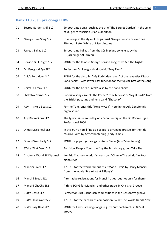#### <span id="page-12-0"></span>**Bank 113 - Sempra-Songs II BW:**

| 01           | Secred Garden Chill SL2      | Smooth-Jazz-Songs, such as the title "The Sercret Garden" in the style<br>of US genre musician Brian Culbertson                                 |
|--------------|------------------------------|-------------------------------------------------------------------------------------------------------------------------------------------------|
| 02           | George Love Song SL2         | Love songs in the style of US guitarist George Benson or even Lee<br>Ritenour, Peter White or Marc Antoine                                      |
| 03           | Jarreau Ballad SL2           | Smooth-Jazz ballads from the 80s in piano style, e.g. by the<br>US jazz singer Al Jarreau                                                       |
| 04           | Benson Guit. Night SL2       | SONG for the famous George Benson song "Give Me The Night".                                                                                     |
| 05           | Dr. Feelgood Eye SL2         | Perfect for Dr. Feelgood's disco hit "Sexy Eyes"                                                                                                |
| 06           | Chic's Forbidden SL2         | SONG for the disco hit "My Forbidden Lover" of the seventies Disoc-<br>Band "Chic" - with lower bass function for the typical intro of the song |
| 07           | Chic's Le Freak SL2          | SONG for the hit "Le Freak", also by the band "Chic".                                                                                           |
| 08           | <b>Shakatak Corner SL2</b>   | For disco songs like "At the Corner", "Invitations" or "Night Birds" from<br>the British pop, jazz and funk band "Shakatak"                     |
| 09           | Ady<br>'s Help Beat SL2      | For the Tom Jones title "Help Myself", here in the Ady-Zenpfennig-<br>organ sound                                                               |
| 10           | Ady Böhm Sinus SL2           | The typical sinus sound by Ady Zehnpfennig on the Dr. Böhm Organ<br>Professional 2000                                                           |
| 11           | Dimes Disco Feel SL2         | In this SONG you'll find as a special 6 arranged presets for the title<br>"Marco Polo" by Ady Zehnpfennig (Andy Dimes)                          |
| 12           | Dimes Disco Party SL2        | SONG for pop-organ songs by Andy Dimes (Ady Zehnpfennig)                                                                                        |
| $\mathbf{1}$ | 3Take That Deep SL2          | For "How Deep Is Your Love" by the British boy group Take That                                                                                  |
| 14           | Clapton's World SL2Optimal   | for Eric Clapton's world-famous song "Change The World" in Pop-<br>piano style                                                                  |
| 15           | Mancini River SL2            | A SONG for the world-famous title "Moon River" by Henry Mancini<br>from the movie "Breakfast at Tiffany's"                                      |
| 16           | Mancini Break SL2            | Alternative registrations for Mancini titles (but not only for them)                                                                            |
| 17           | Mancini ChaCha SL2           | A third SONG for Mancini- and other tracks in Cha-Cha-Groove                                                                                    |
| 18           | <b>Burt's Bossa SL2</b>      | Perfect for Burt Bacharach compositions in the Bossanova groove                                                                                 |
| 19           | <b>Burt's Slow Waltz SL2</b> | A SONG for the Bacharach composition "What The World Needs Now                                                                                  |
| 20           | <b>Burt's Easy Beat SL2</b>  | SONG for Easy-Listening-Songs, e.g. by Burt Bacharach, in 8 Beat<br>groove                                                                      |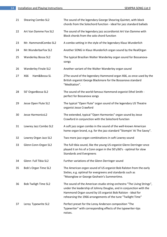| 21 | <b>Shearing Combo SL2</b>   | The sound of the legendary George Shearing Quintet, with block<br>chords from the Solochord function - ideal for jazz standard ballads                                                                                                                                       |
|----|-----------------------------|------------------------------------------------------------------------------------------------------------------------------------------------------------------------------------------------------------------------------------------------------------------------------|
| 22 | Art Van Damme Fox SL2       | The sound of the legendary jazz accordionist Art Van Damme with<br>Block chords from the solo chord function                                                                                                                                                                 |
| 23 | Mr. HammondCombo SL2        | A combo setting in the style of the legendary Klaus Wunderlich                                                                                                                                                                                                               |
| 24 | Mr. WunderbarFox SL2        | Another SONG in Klaus Wunderlich organ sound by the RealOrgan                                                                                                                                                                                                                |
| 25 | <b>Wanderley Bossa SL2</b>  | The typical Brazilian Walter Wanderley organ sound for Bossanova-<br>songs                                                                                                                                                                                                   |
| 26 | <b>Wanderley Finale SL2</b> | Another variant of the Walter Wanderley organ sound                                                                                                                                                                                                                          |
| 27 | Ham&Bossa SL<br>X66         | 2The sound of the legendary Hammond organ X66, as once used by the<br>British organist George Blackmore for the Bossanova standard<br>"Meditation".                                                                                                                          |
| 28 | 50' OrganBossa SL2          | The sound of the world-famous Hammond organist Ethel Smith -<br>perfect for Bossanova songs                                                                                                                                                                                  |
| 29 | Jesse Open Flute SL2        | The typical "Open Flute" organ sound of the legendary US Theatre<br>organist Jesse Crawford                                                                                                                                                                                  |
| 30 | Jesse HarmonicsL2           | The extended, typical "Open Harmonies" organ sound by Jesse<br>Crawford in conjunction with the Solochord function                                                                                                                                                           |
| 31 | Lowrey Jazz Combo SL2       | A soft jazz organ combo in the sound of the well-known American<br>home organ brand, e.g. for the jazz standard "Stompin' At The Savoy".                                                                                                                                     |
| 32 | Lowrey Organ Jazz SL2       | Two more jazz organ combinations in soft Lowrey sound                                                                                                                                                                                                                        |
| 33 | Glenn Conn-Organ SL2        | The full tibia sound, like the young US organist Glenn Derringer once<br>played it on his of a Conn organ in the 50's/60's - optimal for slow<br><b>Standards and Evergreens</b>                                                                                             |
| 34 | Glenn Full Tibia SL2        | Further variations of the Glenn Derringer sound                                                                                                                                                                                                                              |
| 35 | Bob's Organ Time SL2        | The American organ sound of US organist Bob Ralston from the early<br>Sixties, e.g. optimal for evergreens and standards such as<br>"Moonglow or George Geshwin's Summertime.                                                                                                |
| 36 | <b>Bob Twiligh Time SL2</b> | The sound of the American studio string orchestra "The Living Strings",<br>under the leadership of Johnny Douglas, and in conjunction with the<br>Hammond Organ sound by US organist Bob Ralston - ideal for<br>rehearsing the 1966 arrangements of the tune "Twilight Time" |
| 37 | Leroy Typewrite SL2         | Perfect preset for the Leroy Anderson composition "The<br>Typewriter" with corresponding effects of the typewriter-tips<br>noises.                                                                                                                                           |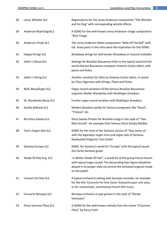| 38 | Leroy Whistler SL2         | Registrations for the Leroy Anderson composition "The Whistler<br>and his Dog" with corresponding whistle effects                                                                                                        |
|----|----------------------------|--------------------------------------------------------------------------------------------------------------------------------------------------------------------------------------------------------------------------|
| 39 | Anderson BlueTangoSL2      | A SONG for the well-known Leroy-Anderson-Tango composition<br>"Blue Tango.                                                                                                                                               |
| 40 | <b>Anderson Finale SL2</b> | The Leroy Anderson Waltz composition "Belle Of The Ball" with<br>full brass parts in the intro were the inspiration for this SONG                                                                                        |
| 41 | <b>Happy Strings SL2</b>   | Broadway strings for well-known Broadway or musical melodies                                                                                                                                                             |
| 42 | Jobim 's Bossa SL2         | Settings for Brazilian Bossanova titles in the typical sound of the<br>world-famous Bossanova composer Antonio-Carlos Jobim, with<br>piano and flutes.                                                                   |
| 43 | Jobim 's String SL2        | Another variation for titles by Antonio-Carlos Jobim, in sound<br>by Claus-Ogerman with Strings, Piano and Flutes                                                                                                        |
| 44 | REAL BossaOrgan SL2        | Organ sound variations of the famous Brazilian Bossanova-<br>organists Walter Wanderley with RealOrgan Drawbars                                                                                                          |
| 45 | W. Wanderley Bossa SL2     | Further organ sound variation with RealOrgan drawbars.                                                                                                                                                                   |
| 46 | Samba doBrasil SL2         | Modern Brazilian samba for famous evergreens like "Brazil",<br>"Tristeza" etc.                                                                                                                                           |
| 47 | Rio Disco Samba SL2        | Disco Samba Presets for Brazilian songs in the style of "Two-<br>Man-Sound", for example their famous Disco Samba Medley                                                                                                 |
| 48 | Tom's Organ Solo SL2       | SONG for the intro of the Santana version of "Oye como va".<br>with the legendary organ intro and organ solo of Santana-<br>Keyboarder/Organist Tom Coster                                                               |
| 49 | Santana Europe SL2         | SONG for Santana's world hit "Europe" with the typical sound<br>the Carlos Santana guitar                                                                                                                                |
| 50 | Shade Of Pale Org. SL2     | "A Whiter Shade Of Pale", a world hit of the group Procol Harum<br>with typical organ sound. The descending bass figure should be<br>played in its proper style via control the activated organist mode<br>on the pedal! |
| 51 | <b>Concert For One SL2</b> | A typical orchestral setting with baroque recorder, for example<br>for the title 'Concerto For One Voice' (Concerto pour une voix),<br>or for melancholic, sentimental French film music.                                |
| 52 | Concerto Baroque SL2       | Baroque orchestra in pop groove in the style of "Rondo<br>Veniziano"                                                                                                                                                     |
| 53 | Percy Summer Place SL2     | A SONG for the well-known melody from the movie "A Summe<br>Place" by Percy Faith                                                                                                                                        |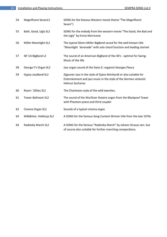| 54 | <b>Magnificent SevenL2</b> | SONG for the famous Western movie theme "The Magnificent<br>Seven")                                                                                                |
|----|----------------------------|--------------------------------------------------------------------------------------------------------------------------------------------------------------------|
| 55 | Bath, Good, Ugly SL2       | SONG for the melody from the western movie "The Good, the Bad and<br>the Ugly" by Ennio Morricone                                                                  |
| 56 | Miller Moonlight SL2       | The typical Glenn-Miller-BigBand sound for the well-known title<br>"Moonlight Serenade" with solo chord function and leading clarinet                              |
| 57 | 40' US BigBand L2          | The sound of an American BigBand of the 40's - optimal for Swing-<br>Music of the 40s                                                                              |
| 58 | George F's Organ SL2       | Jazz organ sound of the Swiss E.-organist Georges Fleury                                                                                                           |
| 59 | Gypsy-JazzBand SL2         | Zigeuner-Jazz in the style of Djano Reinhardt or also suitable for<br>Entertainment and jazz music in the style of the German violonist<br><b>Helmut Zacharias</b> |
| 60 | Roarn ' 20ties SL2         | The Charleston style of the wild twenties.                                                                                                                         |
| 61 | <b>Tower Ballroom SL2</b>  | The sound of the Wurlitzer theatre organ from the Blackpool Tower<br>with Phantom piano and third coupler                                                          |
| 62 | Cinema Organ SL2           | Sounds of a typical cinema organ                                                                                                                                   |
| 63 | Milk&Hon. Halleluja SL2    | A SONG for the famous Song Contest Winner title from the late 1970s                                                                                                |
| 64 | Radetzky March SL2         | A SONG for the famous "Radetzky March" by Johann Strauss sen. but<br>of course also suitable for further marching compositions.                                    |